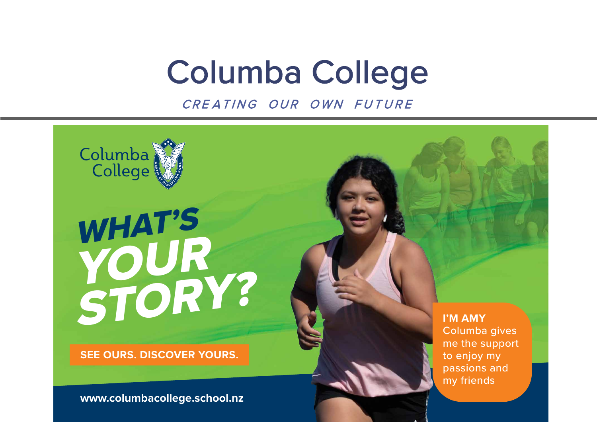# Columba College

CRE ATING OUR OWN FUTURE



**www.columbacollege.school.nz**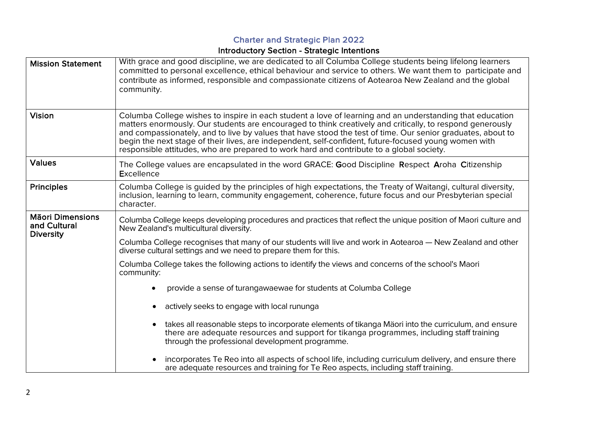#### Charter and Strategic Plan 2022

#### Introductory Section - Strategic Intentions

| <b>Mission Statement</b>                                    | With grace and good discipline, we are dedicated to all Columba College students being lifelong learners<br>committed to personal excellence, ethical behaviour and service to others. We want them to participate and<br>contribute as informed, responsible and compassionate citizens of Aotearoa New Zealand and the global<br>community.                                                                                                                                                                                             |  |  |  |
|-------------------------------------------------------------|-------------------------------------------------------------------------------------------------------------------------------------------------------------------------------------------------------------------------------------------------------------------------------------------------------------------------------------------------------------------------------------------------------------------------------------------------------------------------------------------------------------------------------------------|--|--|--|
| <b>Vision</b>                                               | Columba College wishes to inspire in each student a love of learning and an understanding that education<br>matters enormously. Our students are encouraged to think creatively and critically, to respond generously<br>and compassionately, and to live by values that have stood the test of time. Our senior graduates, about to<br>begin the next stage of their lives, are independent, self-confident, future-focused young women with<br>responsible attitudes, who are prepared to work hard and contribute to a global society. |  |  |  |
| <b>Values</b>                                               | The College values are encapsulated in the word GRACE: Good Discipline Respect Aroha Citizenship<br><b>Excellence</b>                                                                                                                                                                                                                                                                                                                                                                                                                     |  |  |  |
| <b>Principles</b>                                           | Columba College is guided by the principles of high expectations, the Treaty of Waitangi, cultural diversity,<br>inclusion, learning to learn, community engagement, coherence, future focus and our Presbyterian special<br>character.                                                                                                                                                                                                                                                                                                   |  |  |  |
| <b>Māori Dimensions</b><br>and Cultural<br><b>Diversity</b> | Columba College keeps developing procedures and practices that reflect the unique position of Maori culture and<br>New Zealand's multicultural diversity.                                                                                                                                                                                                                                                                                                                                                                                 |  |  |  |
|                                                             | Columba College recognises that many of our students will live and work in Aotearoa — New Zealand and other<br>diverse cultural settings and we need to prepare them for this.                                                                                                                                                                                                                                                                                                                                                            |  |  |  |
|                                                             | Columba College takes the following actions to identify the views and concerns of the school's Maori<br>community:                                                                                                                                                                                                                                                                                                                                                                                                                        |  |  |  |
|                                                             | provide a sense of turangawaewae for students at Columba College                                                                                                                                                                                                                                                                                                                                                                                                                                                                          |  |  |  |
|                                                             | actively seeks to engage with local rununga                                                                                                                                                                                                                                                                                                                                                                                                                                                                                               |  |  |  |
|                                                             | takes all reasonable steps to incorporate elements of tikanga Mäori into the curriculum, and ensure<br>$\bullet$<br>there are adequate resources and support for tikanga programmes, including staff training<br>through the professional development programme.                                                                                                                                                                                                                                                                          |  |  |  |
|                                                             | incorporates Te Reo into all aspects of school life, including curriculum delivery, and ensure there<br>are adequate resources and training for Te Reo aspects, including staff training.                                                                                                                                                                                                                                                                                                                                                 |  |  |  |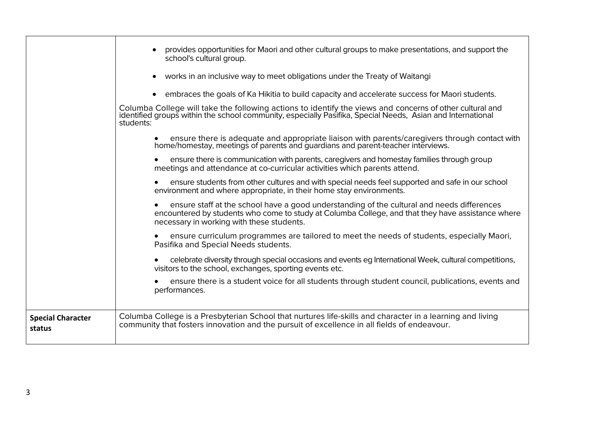|                                    | provides opportunities for Maori and other cultural groups to make presentations, and support the<br>school's cultural group.                                                                                                                |
|------------------------------------|----------------------------------------------------------------------------------------------------------------------------------------------------------------------------------------------------------------------------------------------|
|                                    | • works in an inclusive way to meet obligations under the Treaty of Waitangi                                                                                                                                                                 |
|                                    | • embraces the goals of Ka Hikitia to build capacity and accelerate success for Maori students.                                                                                                                                              |
|                                    | Columba College will take the following actions to identify the views and concerns of other cultural and<br>identified groups within the school community, especially Pasifika, Special Needs, Asian and International<br>students:          |
|                                    | • ensure there is adequate and appropriate liaison with parents/caregivers through contact with home/homestay, meetings of parents and guardians and parent-teacher interviews.                                                              |
|                                    | ensure there is communication with parents, caregivers and homestay families through group<br>meetings and attendance at co-curricular activities which parents attend.                                                                      |
|                                    | ensure students from other cultures and with special needs feel supported and safe in our school<br>environment and where appropriate, in their home stay environments.                                                                      |
|                                    | ensure staff at the school have a good understanding of the cultural and needs differences<br>encountered by students who come to study at Columba College, and that they have assistance where<br>necessary in working with these students. |
|                                    | ensure curriculum programmes are tailored to meet the needs of students, especially Maori,<br>Pasifika and Special Needs students.                                                                                                           |
|                                    | celebrate diversity through special occasions and events eg International Week, cultural competitions,<br>visitors to the school, exchanges, sporting events etc.                                                                            |
|                                    | ensure there is a student voice for all students through student council, publications, events and<br>performances.                                                                                                                          |
| <b>Special Character</b><br>status | Columba College is a Presbyterian School that nurtures life-skills and character in a learning and living<br>community that fosters innovation and the pursuit of excellence in all fields of endeavour.                                     |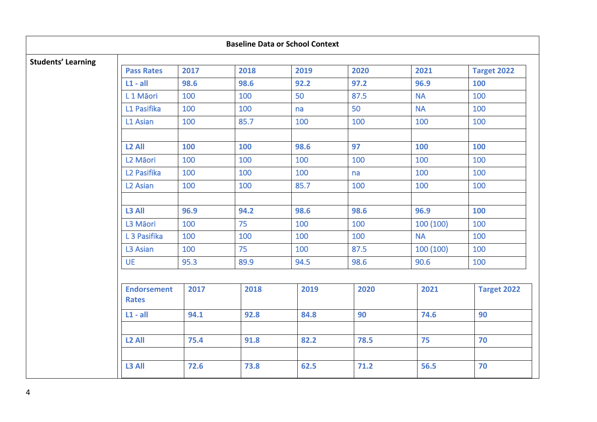| <b>Baseline Data or School Context</b> |                                    |      |      |      |      |           |                    |
|----------------------------------------|------------------------------------|------|------|------|------|-----------|--------------------|
| <b>Students' Learning</b>              | <b>Pass Rates</b>                  | 2017 | 2018 | 2019 | 2020 | 2021      | <b>Target 2022</b> |
|                                        | $L1 - all$                         | 98.6 | 98.6 | 92.2 | 97.2 | 96.9      | 100                |
|                                        | L <sub>1</sub> Maori               | 100  | 100  | 50   | 87.5 | <b>NA</b> | 100                |
|                                        | L1 Pasifika                        | 100  | 100  | na   | 50   | <b>NA</b> | 100                |
|                                        | L1 Asian                           | 100  | 85.7 | 100  | 100  | 100       | 100                |
|                                        | L <sub>2</sub> All                 | 100  | 100  | 98.6 | 97   | 100       | 100                |
|                                        | L <sub>2</sub> Māori               | 100  | 100  | 100  | 100  | 100       | 100                |
|                                        | L <sub>2</sub> Pasifika            | 100  | 100  | 100  | na   | 100       | 100                |
|                                        | L <sub>2</sub> Asian               | 100  | 100  | 85.7 | 100  | 100       | 100                |
|                                        | L3 All                             | 96.9 | 94.2 | 98.6 | 98.6 | 96.9      | 100                |
|                                        | L3 Māori                           | 100  | 75   | 100  | 100  | 100 (100) | 100                |
|                                        | L <sub>3</sub> Pasifika            | 100  | 100  | 100  | 100  | <b>NA</b> | 100                |
|                                        | L3 Asian                           | 100  | 75   | 100  | 87.5 | 100 (100) | 100                |
|                                        | <b>UE</b>                          | 95.3 | 89.9 | 94.5 | 98.6 | 90.6      | 100                |
|                                        | <b>Endorsement</b><br><b>Rates</b> | 2017 | 2018 | 2019 | 2020 | 2021      | <b>Target 2022</b> |
|                                        | $L1 - all$                         | 94.1 | 92.8 | 84.8 | 90   | 74.6      | 90                 |
|                                        | L <sub>2</sub> All                 | 75.4 | 91.8 | 82.2 | 78.5 | 75        | 70                 |
|                                        | L3 All                             | 72.6 | 73.8 | 62.5 | 71.2 | 56.5      | 70                 |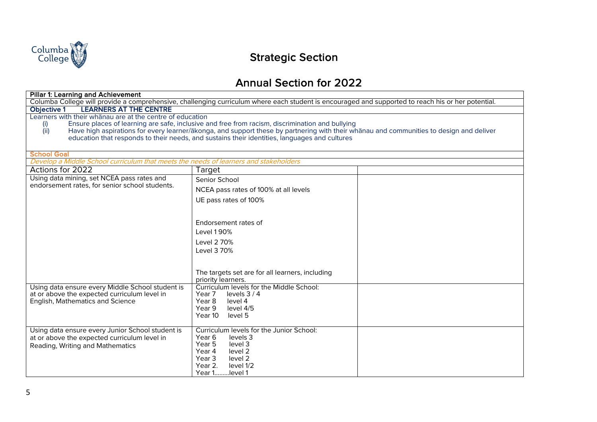

## Strategic Section

### Annual Section for 2022

| <b>Pillar 1: Learning and Achievement</b>                                                                                                          |                                                                                                                                         |  |  |  |
|----------------------------------------------------------------------------------------------------------------------------------------------------|-----------------------------------------------------------------------------------------------------------------------------------------|--|--|--|
| Columba College will provide a comprehensive, challenging curriculum where each student is encouraged and supported to reach his or her potential. |                                                                                                                                         |  |  |  |
| <b>LEARNERS AT THE CENTRE</b><br>Objective 1                                                                                                       |                                                                                                                                         |  |  |  |
| Learners with their whanau are at the centre of education                                                                                          |                                                                                                                                         |  |  |  |
| (i)                                                                                                                                                | Ensure places of learning are safe, inclusive and free from racism, discrimination and bullying                                         |  |  |  |
| (iii)                                                                                                                                              | Have high aspirations for every learner/akonga, and support these by partnering with their whanau and communities to design and deliver |  |  |  |
|                                                                                                                                                    | education that responds to their needs, and sustains their identities, languages and cultures                                           |  |  |  |
|                                                                                                                                                    |                                                                                                                                         |  |  |  |
| <b>School Goal</b><br>Develop a Middle School curriculum that meets the needs of learners and stakeholders                                         |                                                                                                                                         |  |  |  |
| Actions for 2022                                                                                                                                   | Target                                                                                                                                  |  |  |  |
| Using data mining, set NCEA pass rates and                                                                                                         |                                                                                                                                         |  |  |  |
| endorsement rates, for senior school students.                                                                                                     | Senior School                                                                                                                           |  |  |  |
|                                                                                                                                                    | NCEA pass rates of 100% at all levels                                                                                                   |  |  |  |
|                                                                                                                                                    | UE pass rates of 100%                                                                                                                   |  |  |  |
|                                                                                                                                                    |                                                                                                                                         |  |  |  |
|                                                                                                                                                    |                                                                                                                                         |  |  |  |
|                                                                                                                                                    | Endorsement rates of                                                                                                                    |  |  |  |
|                                                                                                                                                    | Level 190%                                                                                                                              |  |  |  |
|                                                                                                                                                    | Level 2 70%                                                                                                                             |  |  |  |
|                                                                                                                                                    | Level 3 70%                                                                                                                             |  |  |  |
|                                                                                                                                                    |                                                                                                                                         |  |  |  |
|                                                                                                                                                    |                                                                                                                                         |  |  |  |
|                                                                                                                                                    | The targets set are for all learners, including                                                                                         |  |  |  |
|                                                                                                                                                    | priority learners.                                                                                                                      |  |  |  |
| Using data ensure every Middle School student is                                                                                                   | Curriculum levels for the Middle School:                                                                                                |  |  |  |
| at or above the expected curriculum level in                                                                                                       | Year 7<br>levels $3/4$                                                                                                                  |  |  |  |
| English, Mathematics and Science                                                                                                                   | Year 8<br>level 4                                                                                                                       |  |  |  |
|                                                                                                                                                    | Year 9<br>level 4/5<br>Year 10<br>level 5                                                                                               |  |  |  |
|                                                                                                                                                    |                                                                                                                                         |  |  |  |
| Using data ensure every Junior School student is                                                                                                   | Curriculum levels for the Junior School:                                                                                                |  |  |  |
| at or above the expected curriculum level in                                                                                                       | Year <sub>6</sub><br>levels 3                                                                                                           |  |  |  |
| Reading, Writing and Mathematics                                                                                                                   | Year 5<br>level 3                                                                                                                       |  |  |  |
|                                                                                                                                                    | Year 4<br>level 2                                                                                                                       |  |  |  |
|                                                                                                                                                    | Year 3<br>level 2                                                                                                                       |  |  |  |
| Year 2.<br>level 1/2                                                                                                                               |                                                                                                                                         |  |  |  |
|                                                                                                                                                    | Year 1level 1                                                                                                                           |  |  |  |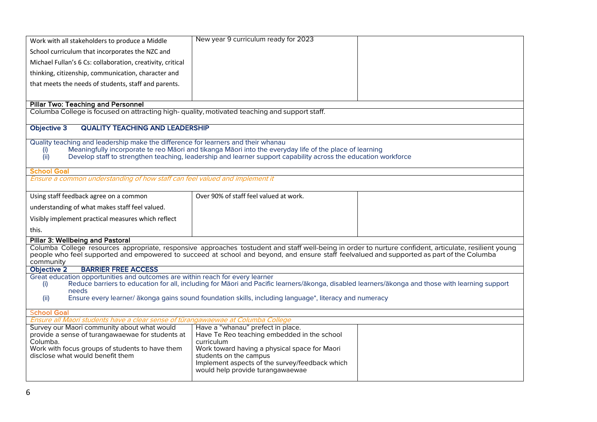| Work with all stakeholders to produce a Middle                                                                                                                                                                                                                                                      | New year 9 curriculum ready for 2023                                                                                                                                                                                      |  |  |  |  |
|-----------------------------------------------------------------------------------------------------------------------------------------------------------------------------------------------------------------------------------------------------------------------------------------------------|---------------------------------------------------------------------------------------------------------------------------------------------------------------------------------------------------------------------------|--|--|--|--|
| School curriculum that incorporates the NZC and                                                                                                                                                                                                                                                     |                                                                                                                                                                                                                           |  |  |  |  |
| Michael Fullan's 6 Cs: collaboration, creativity, critical                                                                                                                                                                                                                                          |                                                                                                                                                                                                                           |  |  |  |  |
| thinking, citizenship, communication, character and                                                                                                                                                                                                                                                 |                                                                                                                                                                                                                           |  |  |  |  |
| that meets the needs of students, staff and parents.                                                                                                                                                                                                                                                |                                                                                                                                                                                                                           |  |  |  |  |
|                                                                                                                                                                                                                                                                                                     |                                                                                                                                                                                                                           |  |  |  |  |
| <b>Pillar Two: Teaching and Personnel</b>                                                                                                                                                                                                                                                           |                                                                                                                                                                                                                           |  |  |  |  |
| Columba College is focused on attracting high- quality, motivated teaching and support staff.                                                                                                                                                                                                       |                                                                                                                                                                                                                           |  |  |  |  |
| Objective 3<br><b>QUALITY TEACHING AND LEADERSHIP</b>                                                                                                                                                                                                                                               |                                                                                                                                                                                                                           |  |  |  |  |
| Quality teaching and leadership make the difference for learners and their whanau                                                                                                                                                                                                                   |                                                                                                                                                                                                                           |  |  |  |  |
| (i)<br>(iii)                                                                                                                                                                                                                                                                                        | Meaningfully incorporate te reo Maori and tikanga Maori into the everyday life of the place of learning<br>Develop staff to strengthen teaching, leadership and learner support capability across the education workforce |  |  |  |  |
|                                                                                                                                                                                                                                                                                                     |                                                                                                                                                                                                                           |  |  |  |  |
| <b>School Goal</b><br>Ensure a common understanding of how staff can feel valued and implement it                                                                                                                                                                                                   |                                                                                                                                                                                                                           |  |  |  |  |
|                                                                                                                                                                                                                                                                                                     |                                                                                                                                                                                                                           |  |  |  |  |
| Using staff feedback agree on a common                                                                                                                                                                                                                                                              | Over 90% of staff feel valued at work.                                                                                                                                                                                    |  |  |  |  |
| understanding of what makes staff feel valued.                                                                                                                                                                                                                                                      |                                                                                                                                                                                                                           |  |  |  |  |
| Visibly implement practical measures which reflect                                                                                                                                                                                                                                                  |                                                                                                                                                                                                                           |  |  |  |  |
| this.                                                                                                                                                                                                                                                                                               |                                                                                                                                                                                                                           |  |  |  |  |
| <b>Pillar 3: Wellbeing and Pastoral</b>                                                                                                                                                                                                                                                             |                                                                                                                                                                                                                           |  |  |  |  |
| Columba College resources appropriate, responsive approaches tostudent and staff well-being in order to nurture confident, articulate, resilient young<br>people who feel supported and empowered to succeed at school and beyond, and ensure staff feelvalued and supported as part of the Columba |                                                                                                                                                                                                                           |  |  |  |  |
| community<br><b>BARRIER FREE ACCESS</b><br>Objective 2                                                                                                                                                                                                                                              |                                                                                                                                                                                                                           |  |  |  |  |
| Great education opportunities and outcomes are within reach for every learner<br>Reduce barriers to education for all, including for Maori and Pacific learners/akonga, disabled learners/akonga and those with learning support<br>(i)<br>needs                                                    |                                                                                                                                                                                                                           |  |  |  |  |
| Ensure every learner/ ākonga gains sound foundation skills, including language*, literacy and numeracy<br>(ii)                                                                                                                                                                                      |                                                                                                                                                                                                                           |  |  |  |  |
| <b>School Goal</b>                                                                                                                                                                                                                                                                                  |                                                                                                                                                                                                                           |  |  |  |  |
| Ensure all Maori students have a clear sense of tūrangawaewae at Columba College                                                                                                                                                                                                                    |                                                                                                                                                                                                                           |  |  |  |  |
| Survey our Maori community about what would<br>provide a sense of turangawaewae for students at                                                                                                                                                                                                     | Have a "whanau" prefect in place.<br>Have Te Reo teaching embedded in the school                                                                                                                                          |  |  |  |  |
| Columba.                                                                                                                                                                                                                                                                                            | curriculum                                                                                                                                                                                                                |  |  |  |  |
| Work with focus groups of students to have them<br>disclose what would benefit them                                                                                                                                                                                                                 | Work toward having a physical space for Maori<br>students on the campus                                                                                                                                                   |  |  |  |  |
|                                                                                                                                                                                                                                                                                                     | Implement aspects of the survey/feedback which                                                                                                                                                                            |  |  |  |  |
|                                                                                                                                                                                                                                                                                                     | would help provide turangawaewae                                                                                                                                                                                          |  |  |  |  |
|                                                                                                                                                                                                                                                                                                     |                                                                                                                                                                                                                           |  |  |  |  |